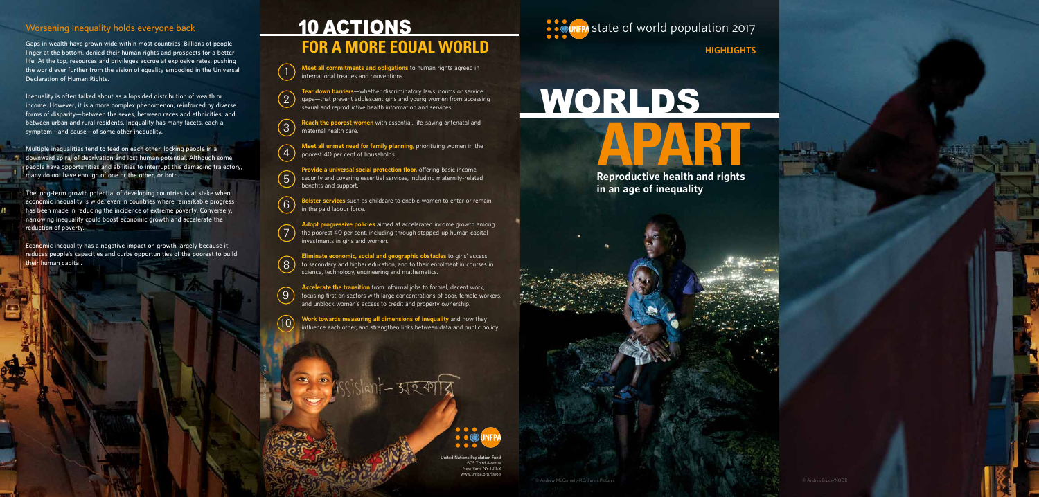# **APART**<br>Reproductive health and rights WORLDS

**in an age of inequality**

**United Nations Population Fund** 605 Third Avenue New York, NY 10158 www.unfpa.org/swor



**STAR STATE OF WORLD POPULATION 2017** 

**HIGHLIGHTS**

# 10 ACTIONS **FOR A MORE EQUAL WORLD**



## **Worsening inequality holds everyone back**

**Gaps in wealth have grown wide within most countries. Billions of people linger at the bottom, denied their human rights and prospects for a better life. At the top, resources and privileges accrue at explosive rates, pushing the world ever further from the vision of equality embodied in the Universal Declaration of Human Rights.**

**Inequality is often talked about as a lopsided distribution of wealth or income. However, it is a more complex phenomenon, reinforced by diverse forms of disparity—between the sexes, between races and ethnicities, and between urban and rural residents. Inequality has many facets, each a symptom—and cause—of some other inequality.**

**Multiple inequalities tend to feed on each other, locking people in a downward spiral of deprivation and lost human potential. Although some people have opportunities and abilities to interrupt this damaging trajectory, many do not have enough of one or the other, or both.**

**The long-term growth potential of developing countries is at stake when economic inequality is wide, even in countries where remarkable progress has been made in reducing the incidence of extreme poverty. Conversely, narrowing inequality could boost economic growth and accelerate the reduction of poverty.**

**Economic inequality has a negative impact on growth largely because it reduces people's capacities and curbs opportunities of the poorest to build their human capital.** 

© BRAC-Sumon Yusuf

**Meet all commitments and obligations** to human rights agreed in international treaties and conventions.

**Tear down barriers**—whether discriminatory laws, norms or service gaps—that prevent adolescent girls and young women from accessing sexual and reproductive health information and services.

**Reach the poorest women** with essential, life-saving antenatal and maternal health care.

**Meet all unmet need for family planning,** prioritizing women in the poorest 40 per cent of households.

**Provide a universal social protection floor,** offering basic income security and covering essential services, including maternity-related benefits and support.

**Bolster services** such as childcare to enable women to enter or remain in the paid labour force.

**Adopt progressive policies** aimed at accelerated income growth among the poorest 40 per cent, including through stepped-up human capital investments in girls and women.

**Eliminate economic, social and geographic obstacles** to girls' access to secondary and higher education, and to their enrolment in courses in science, technology, engineering and mathematics.

**Accelerate the transition** from informal jobs to formal, decent work, focusing first on sectors with large concentrations of poor, female workers, and unblock women's access to credit and property ownership.

**Work towards measuring all dimensions of inequality** and how they influence each other, and strengthen links between data and public policy.

- হাহ কা



1

2





5

6

7

8

9

10